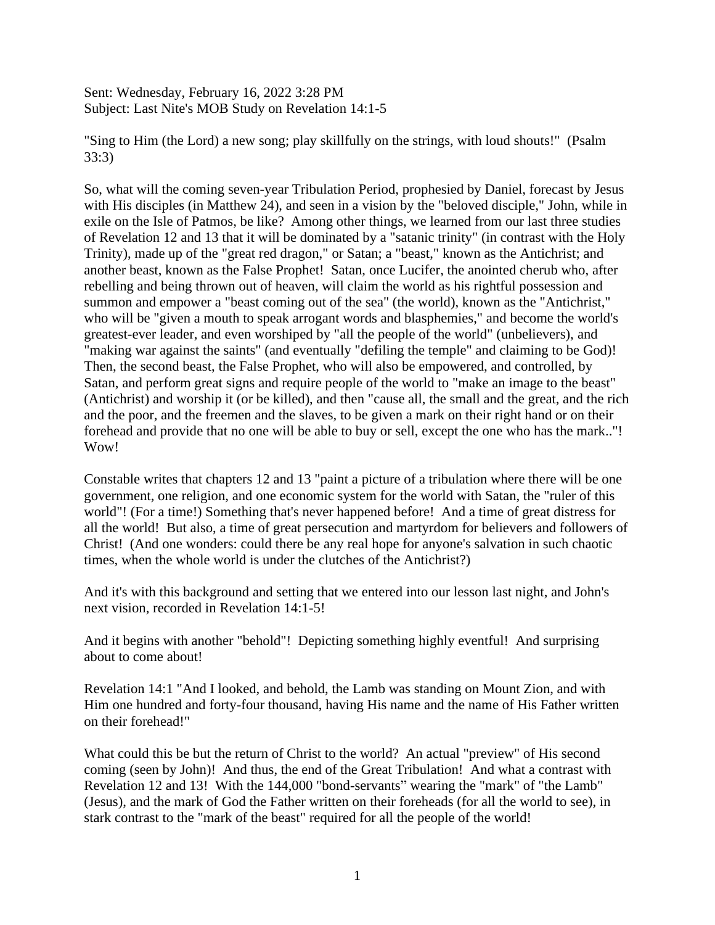Sent: Wednesday, February 16, 2022 3:28 PM Subject: Last Nite's MOB Study on Revelation 14:1-5

"Sing to Him (the Lord) a new song; play skillfully on the strings, with loud shouts!" (Psalm 33:3)

So, what will the coming seven-year Tribulation Period, prophesied by Daniel, forecast by Jesus with His disciples (in Matthew 24), and seen in a vision by the "beloved disciple," John, while in exile on the Isle of Patmos, be like? Among other things, we learned from our last three studies of Revelation 12 and 13 that it will be dominated by a "satanic trinity" (in contrast with the Holy Trinity), made up of the "great red dragon," or Satan; a "beast," known as the Antichrist; and another beast, known as the False Prophet! Satan, once Lucifer, the anointed cherub who, after rebelling and being thrown out of heaven, will claim the world as his rightful possession and summon and empower a "beast coming out of the sea" (the world), known as the "Antichrist," who will be "given a mouth to speak arrogant words and blasphemies," and become the world's greatest-ever leader, and even worshiped by "all the people of the world" (unbelievers), and "making war against the saints" (and eventually "defiling the temple" and claiming to be God)! Then, the second beast, the False Prophet, who will also be empowered, and controlled, by Satan, and perform great signs and require people of the world to "make an image to the beast" (Antichrist) and worship it (or be killed), and then "cause all, the small and the great, and the rich and the poor, and the freemen and the slaves, to be given a mark on their right hand or on their forehead and provide that no one will be able to buy or sell, except the one who has the mark.."! Wow!

Constable writes that chapters 12 and 13 "paint a picture of a tribulation where there will be one government, one religion, and one economic system for the world with Satan, the "ruler of this world"! (For a time!) Something that's never happened before! And a time of great distress for all the world! But also, a time of great persecution and martyrdom for believers and followers of Christ! (And one wonders: could there be any real hope for anyone's salvation in such chaotic times, when the whole world is under the clutches of the Antichrist?)

And it's with this background and setting that we entered into our lesson last night, and John's next vision, recorded in Revelation 14:1-5!

And it begins with another "behold"! Depicting something highly eventful! And surprising about to come about!

Revelation 14:1 "And I looked, and behold, the Lamb was standing on Mount Zion, and with Him one hundred and forty-four thousand, having His name and the name of His Father written on their forehead!"

What could this be but the return of Christ to the world? An actual "preview" of His second coming (seen by John)! And thus, the end of the Great Tribulation! And what a contrast with Revelation 12 and 13! With the 144,000 "bond-servants" wearing the "mark" of "the Lamb" (Jesus), and the mark of God the Father written on their foreheads (for all the world to see), in stark contrast to the "mark of the beast" required for all the people of the world!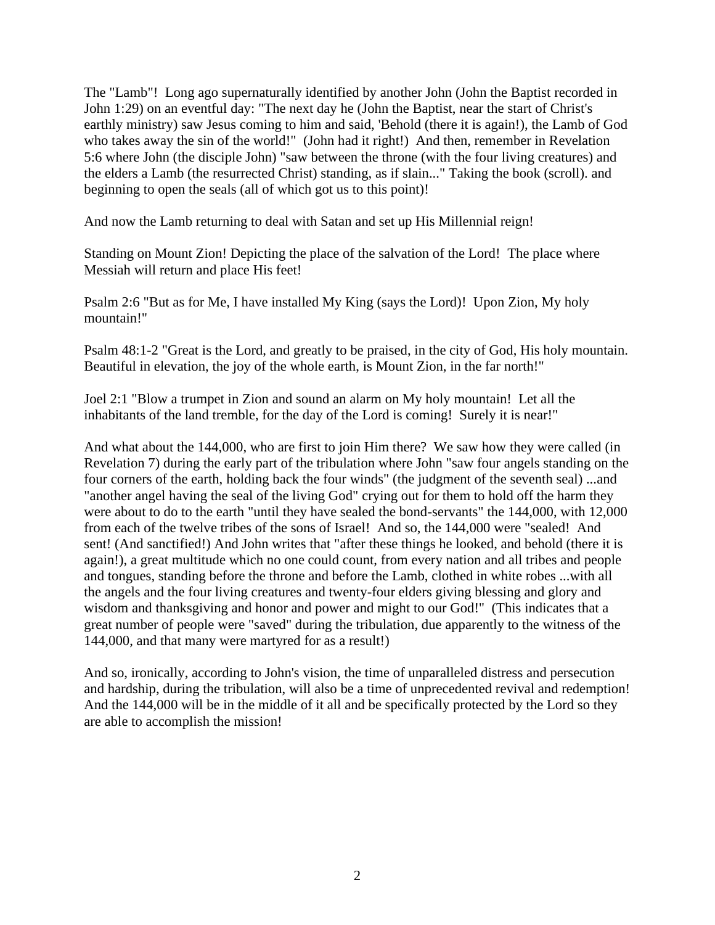The "Lamb"! Long ago supernaturally identified by another John (John the Baptist recorded in John 1:29) on an eventful day: "The next day he (John the Baptist, near the start of Christ's earthly ministry) saw Jesus coming to him and said, 'Behold (there it is again!), the Lamb of God who takes away the sin of the world!" (John had it right!) And then, remember in Revelation 5:6 where John (the disciple John) "saw between the throne (with the four living creatures) and the elders a Lamb (the resurrected Christ) standing, as if slain..." Taking the book (scroll). and beginning to open the seals (all of which got us to this point)!

And now the Lamb returning to deal with Satan and set up His Millennial reign!

Standing on Mount Zion! Depicting the place of the salvation of the Lord! The place where Messiah will return and place His feet!

Psalm 2:6 "But as for Me, I have installed My King (says the Lord)! Upon Zion, My holy mountain!"

Psalm 48:1-2 "Great is the Lord, and greatly to be praised, in the city of God, His holy mountain. Beautiful in elevation, the joy of the whole earth, is Mount Zion, in the far north!"

Joel 2:1 "Blow a trumpet in Zion and sound an alarm on My holy mountain! Let all the inhabitants of the land tremble, for the day of the Lord is coming! Surely it is near!"

And what about the 144,000, who are first to join Him there? We saw how they were called (in Revelation 7) during the early part of the tribulation where John "saw four angels standing on the four corners of the earth, holding back the four winds" (the judgment of the seventh seal) ...and "another angel having the seal of the living God" crying out for them to hold off the harm they were about to do to the earth "until they have sealed the bond-servants" the 144,000, with 12,000 from each of the twelve tribes of the sons of Israel! And so, the 144,000 were "sealed! And sent! (And sanctified!) And John writes that "after these things he looked, and behold (there it is again!), a great multitude which no one could count, from every nation and all tribes and people and tongues, standing before the throne and before the Lamb, clothed in white robes ...with all the angels and the four living creatures and twenty-four elders giving blessing and glory and wisdom and thanksgiving and honor and power and might to our God!" (This indicates that a great number of people were "saved" during the tribulation, due apparently to the witness of the 144,000, and that many were martyred for as a result!)

And so, ironically, according to John's vision, the time of unparalleled distress and persecution and hardship, during the tribulation, will also be a time of unprecedented revival and redemption! And the 144,000 will be in the middle of it all and be specifically protected by the Lord so they are able to accomplish the mission!